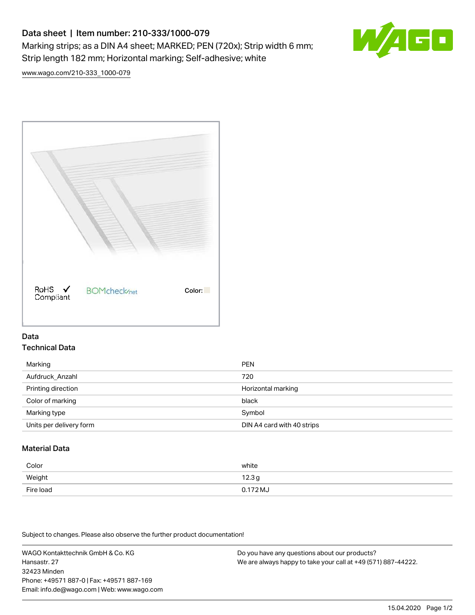# Data sheet | Item number: 210-333/1000-079 Marking strips; as a DIN A4 sheet; MARKED; PEN (720x); Strip width 6 mm; Strip length 182 mm; Horizontal marking; Self-adhesive; white



[www.wago.com/210-333\\_1000-079](http://www.wago.com/210-333_1000-079)



## Data Technical Data

| Marking                 | <b>PEN</b>                 |
|-------------------------|----------------------------|
| Aufdruck Anzahl         | 720                        |
| Printing direction      | Horizontal marking         |
| Color of marking        | black                      |
| Marking type            | Symbol                     |
| Units per delivery form | DIN A4 card with 40 strips |

# Material Data

| Color     | white               |
|-----------|---------------------|
| Weight    | 12.3g               |
| Fire load | $0.172 \mathrm{MJ}$ |

Subject to changes. Please also observe the further product documentation!

WAGO Kontakttechnik GmbH & Co. KG Hansastr. 27 32423 Minden Phone: +49571 887-0 | Fax: +49571 887-169 Email: info.de@wago.com | Web: www.wago.com

Do you have any questions about our products? We are always happy to take your call at +49 (571) 887-44222.